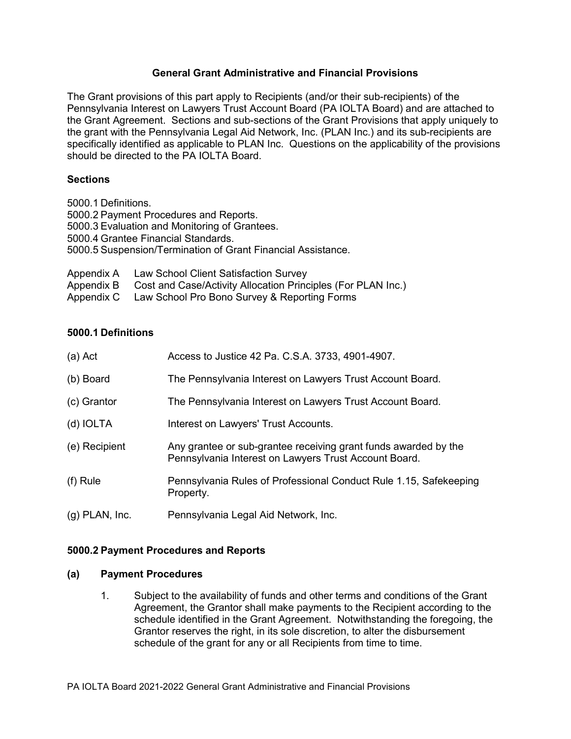### **General Grant Administrative and Financial Provisions**

The Grant provisions of this part apply to Recipients (and/or their sub-recipients) of the Pennsylvania Interest on Lawyers Trust Account Board (PA IOLTA Board) and are attached to the Grant Agreement. Sections and sub-sections of the Grant Provisions that apply uniquely to the grant with the Pennsylvania Legal Aid Network, Inc. (PLAN Inc.) and its sub-recipients are specifically identified as applicable to PLAN Inc. Questions on the applicability of the provisions should be directed to the PA IOLTA Board.

#### **Sections**

5000.1 Definitions. 5000.2 Payment Procedures and Reports. 5000.3 Evaluation and Monitoring of Grantees. 5000.4 Grantee Financial Standards. 5000.5 Suspension/Termination of Grant Financial Assistance.

| Appendix A Law School Client Satisfaction Survey                        |
|-------------------------------------------------------------------------|
| Appendix B Cost and Case/Activity Allocation Principles (For PLAN Inc.) |
| Appendix C Law School Pro Bono Survey & Reporting Forms                 |

#### **5000.1 Definitions**

| (a) Act          | Access to Justice 42 Pa. C.S.A. 3733, 4901-4907.                                                                         |  |  |  |
|------------------|--------------------------------------------------------------------------------------------------------------------------|--|--|--|
| (b) Board        | The Pennsylvania Interest on Lawyers Trust Account Board.                                                                |  |  |  |
| (c) Grantor      | The Pennsylvania Interest on Lawyers Trust Account Board.                                                                |  |  |  |
| (d) IOLTA        | Interest on Lawyers' Trust Accounts.                                                                                     |  |  |  |
| (e) Recipient    | Any grantee or sub-grantee receiving grant funds awarded by the<br>Pennsylvania Interest on Lawyers Trust Account Board. |  |  |  |
| (f) Rule         | Pennsylvania Rules of Professional Conduct Rule 1.15, Safekeeping<br>Property.                                           |  |  |  |
| $(g)$ PLAN, Inc. | Pennsylvania Legal Aid Network, Inc.                                                                                     |  |  |  |

#### **5000.2 Payment Procedures and Reports**

#### **(a) Payment Procedures**

1. Subject to the availability of funds and other terms and conditions of the Grant Agreement, the Grantor shall make payments to the Recipient according to the schedule identified in the Grant Agreement. Notwithstanding the foregoing, the Grantor reserves the right, in its sole discretion, to alter the disbursement schedule of the grant for any or all Recipients from time to time.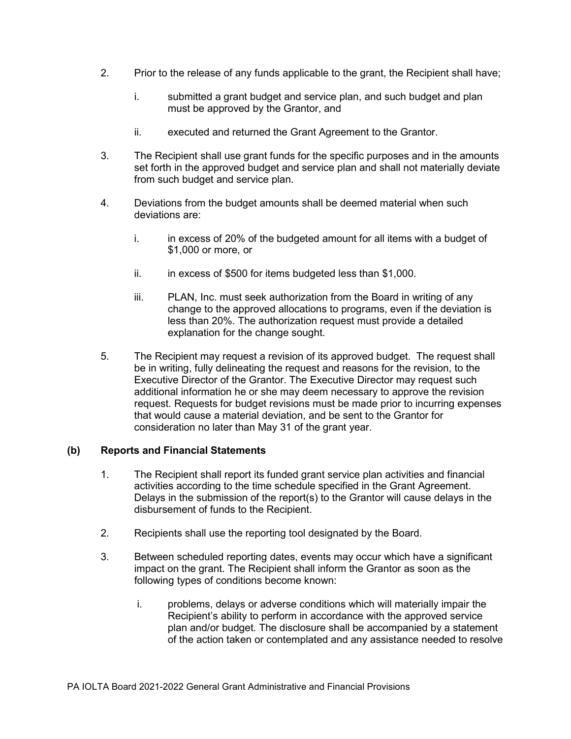- 2. Prior to the release of any funds applicable to the grant, the Recipient shall have;
	- i. submitted a grant budget and service plan, and such budget and plan must be approved by the Grantor, and
	- ii. executed and returned the Grant Agreement to the Grantor.
- 3. The Recipient shall use grant funds for the specific purposes and in the amounts set forth in the approved budget and service plan and shall not materially deviate from such budget and service plan.
- 4. Deviations from the budget amounts shall be deemed material when such deviations are:
	- i. in excess of 20% of the budgeted amount for all items with a budget of \$1,000 or more, or
	- ii. in excess of \$500 for items budgeted less than \$1,000.
	- iii. PLAN, Inc. must seek authorization from the Board in writing of any change to the approved allocations to programs, even if the deviation is less than 20%. The authorization request must provide a detailed explanation for the change sought.
- 5. The Recipient may request a revision of its approved budget. The request shall be in writing, fully delineating the request and reasons for the revision, to the Executive Director of the Grantor. The Executive Director may request such additional information he or she may deem necessary to approve the revision request. Requests for budget revisions must be made prior to incurring expenses that would cause a material deviation, and be sent to the Grantor for consideration no later than May 31 of the grant year.

### **(b) Reports and Financial Statements**

- 1. The Recipient shall report its funded grant service plan activities and financial activities according to the time schedule specified in the Grant Agreement. Delays in the submission of the report(s) to the Grantor will cause delays in the disbursement of funds to the Recipient.
- 2. Recipients shall use the reporting tool designated by the Board.
- 3. Between scheduled reporting dates, events may occur which have a significant impact on the grant. The Recipient shall inform the Grantor as soon as the following types of conditions become known:
	- i. problems, delays or adverse conditions which will materially impair the Recipient's ability to perform in accordance with the approved service plan and/or budget. The disclosure shall be accompanied by a statement of the action taken or contemplated and any assistance needed to resolve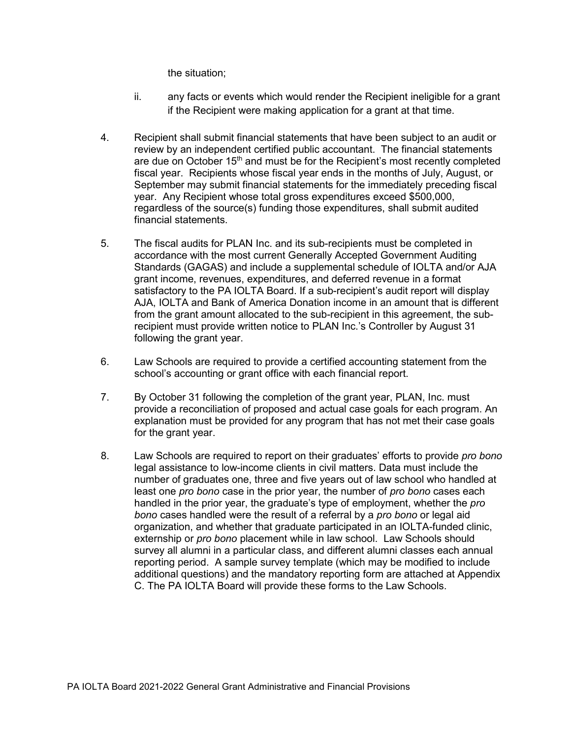the situation;

- ii. any facts or events which would render the Recipient ineligible for a grant if the Recipient were making application for a grant at that time.
- 4. Recipient shall submit financial statements that have been subject to an audit or review by an independent certified public accountant. The financial statements are due on October  $15<sup>th</sup>$  and must be for the Recipient's most recently completed fiscal year. Recipients whose fiscal year ends in the months of July, August, or September may submit financial statements for the immediately preceding fiscal year. Any Recipient whose total gross expenditures exceed \$500,000, regardless of the source(s) funding those expenditures, shall submit audited financial statements.
- 5. The fiscal audits for PLAN Inc. and its sub-recipients must be completed in accordance with the most current Generally Accepted Government Auditing Standards (GAGAS) and include a supplemental schedule of IOLTA and/or AJA grant income, revenues, expenditures, and deferred revenue in a format satisfactory to the PA IOLTA Board. If a sub-recipient's audit report will display AJA, IOLTA and Bank of America Donation income in an amount that is different from the grant amount allocated to the sub-recipient in this agreement, the subrecipient must provide written notice to PLAN Inc.'s Controller by August 31 following the grant year.
- 6. Law Schools are required to provide a certified accounting statement from the school's accounting or grant office with each financial report.
- 7. By October 31 following the completion of the grant year, PLAN, Inc. must provide a reconciliation of proposed and actual case goals for each program. An explanation must be provided for any program that has not met their case goals for the grant year.
- 8. Law Schools are required to report on their graduates' efforts to provide *pro bono* legal assistance to low-income clients in civil matters. Data must include the number of graduates one, three and five years out of law school who handled at least one *pro bono* case in the prior year, the number of *pro bono* cases each handled in the prior year, the graduate's type of employment, whether the *pro bono* cases handled were the result of a referral by a *pro bono* or legal aid organization, and whether that graduate participated in an IOLTA-funded clinic, externship or *pro bono* placement while in law school. Law Schools should survey all alumni in a particular class, and different alumni classes each annual reporting period. A sample survey template (which may be modified to include additional questions) and the mandatory reporting form are attached at Appendix C. The PA IOLTA Board will provide these forms to the Law Schools.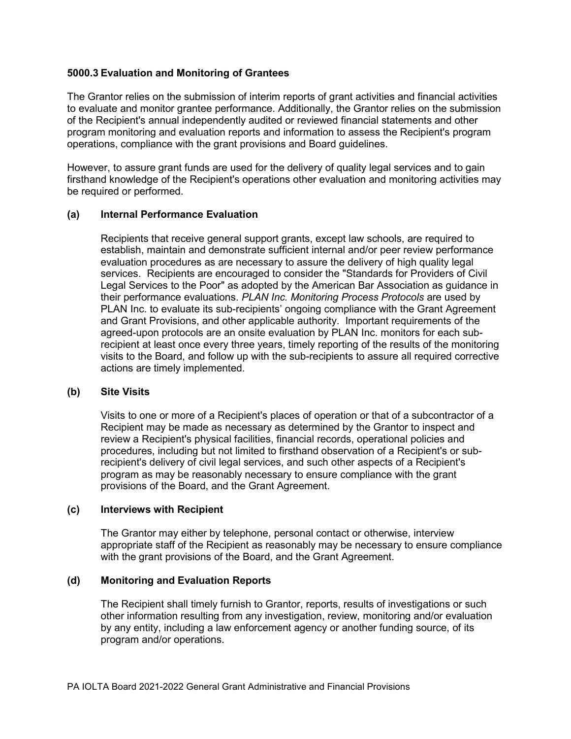#### **5000.3 Evaluation and Monitoring of Grantees**

The Grantor relies on the submission of interim reports of grant activities and financial activities to evaluate and monitor grantee performance. Additionally, the Grantor relies on the submission of the Recipient's annual independently audited or reviewed financial statements and other program monitoring and evaluation reports and information to assess the Recipient's program operations, compliance with the grant provisions and Board guidelines.

However, to assure grant funds are used for the delivery of quality legal services and to gain firsthand knowledge of the Recipient's operations other evaluation and monitoring activities may be required or performed.

#### **(a) Internal Performance Evaluation**

Recipients that receive general support grants, except law schools, are required to establish, maintain and demonstrate sufficient internal and/or peer review performance evaluation procedures as are necessary to assure the delivery of high quality legal services. Recipients are encouraged to consider the "Standards for Providers of Civil Legal Services to the Poor" as adopted by the American Bar Association as guidance in their performance evaluations. *PLAN Inc. Monitoring Process Protocols* are used by PLAN Inc. to evaluate its sub-recipients' ongoing compliance with the Grant Agreement and Grant Provisions, and other applicable authority. Important requirements of the agreed-upon protocols are an onsite evaluation by PLAN Inc. monitors for each subrecipient at least once every three years, timely reporting of the results of the monitoring visits to the Board, and follow up with the sub-recipients to assure all required corrective actions are timely implemented.

#### **(b) Site Visits**

Visits to one or more of a Recipient's places of operation or that of a subcontractor of a Recipient may be made as necessary as determined by the Grantor to inspect and review a Recipient's physical facilities, financial records, operational policies and procedures, including but not limited to firsthand observation of a Recipient's or subrecipient's delivery of civil legal services, and such other aspects of a Recipient's program as may be reasonably necessary to ensure compliance with the grant provisions of the Board, and the Grant Agreement.

#### **(c) Interviews with Recipient**

The Grantor may either by telephone, personal contact or otherwise, interview appropriate staff of the Recipient as reasonably may be necessary to ensure compliance with the grant provisions of the Board, and the Grant Agreement.

### **(d) Monitoring and Evaluation Reports**

The Recipient shall timely furnish to Grantor, reports, results of investigations or such other information resulting from any investigation, review, monitoring and/or evaluation by any entity, including a law enforcement agency or another funding source, of its program and/or operations.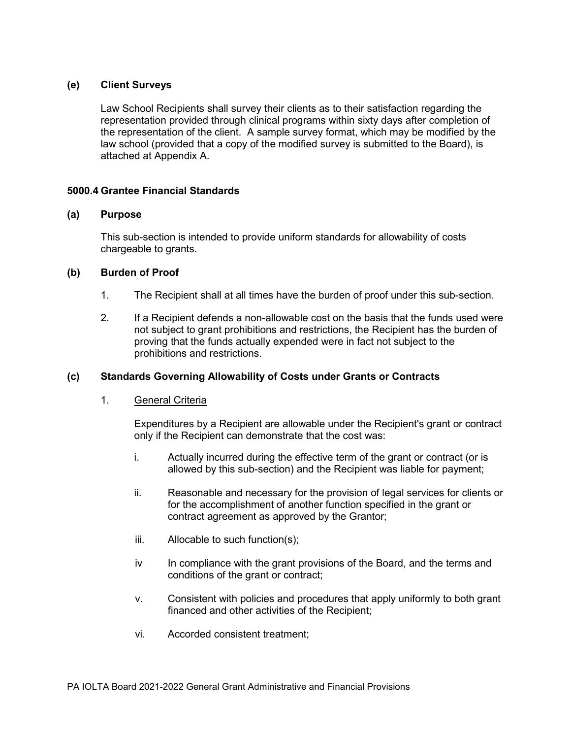### **(e) Client Surveys**

Law School Recipients shall survey their clients as to their satisfaction regarding the representation provided through clinical programs within sixty days after completion of the representation of the client. A sample survey format, which may be modified by the law school (provided that a copy of the modified survey is submitted to the Board), is attached at Appendix A.

#### **5000.4 Grantee Financial Standards**

#### **(a) Purpose**

This sub-section is intended to provide uniform standards for allowability of costs chargeable to grants.

#### **(b) Burden of Proof**

- 1. The Recipient shall at all times have the burden of proof under this sub-section.
- 2. If a Recipient defends a non-allowable cost on the basis that the funds used were not subject to grant prohibitions and restrictions, the Recipient has the burden of proving that the funds actually expended were in fact not subject to the prohibitions and restrictions.

### **(c) Standards Governing Allowability of Costs under Grants or Contracts**

#### 1. General Criteria

Expenditures by a Recipient are allowable under the Recipient's grant or contract only if the Recipient can demonstrate that the cost was:

- i. Actually incurred during the effective term of the grant or contract (or is allowed by this sub-section) and the Recipient was liable for payment;
- ii. Reasonable and necessary for the provision of legal services for clients or for the accomplishment of another function specified in the grant or contract agreement as approved by the Grantor;
- iii. Allocable to such function(s);
- iv In compliance with the grant provisions of the Board, and the terms and conditions of the grant or contract;
- v. Consistent with policies and procedures that apply uniformly to both grant financed and other activities of the Recipient;
- vi. Accorded consistent treatment;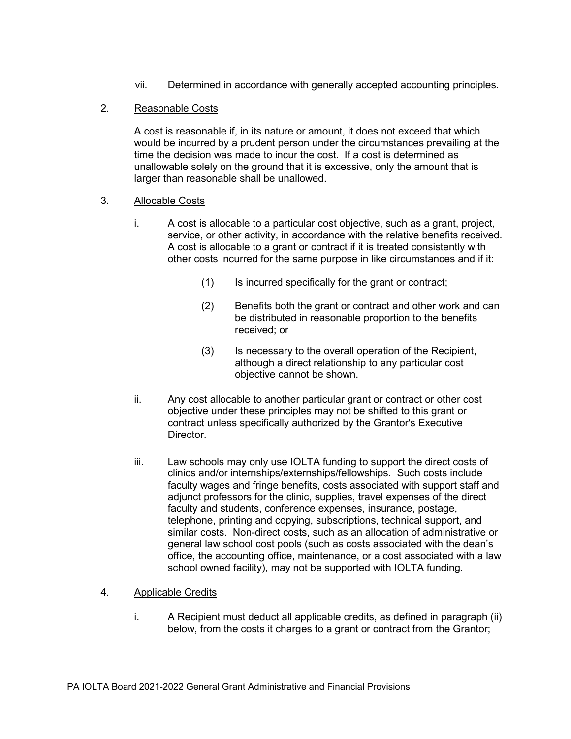vii. Determined in accordance with generally accepted accounting principles.

### 2. Reasonable Costs

A cost is reasonable if, in its nature or amount, it does not exceed that which would be incurred by a prudent person under the circumstances prevailing at the time the decision was made to incur the cost. If a cost is determined as unallowable solely on the ground that it is excessive, only the amount that is larger than reasonable shall be unallowed.

### 3. Allocable Costs

- i. A cost is allocable to a particular cost objective, such as a grant, project, service, or other activity, in accordance with the relative benefits received. A cost is allocable to a grant or contract if it is treated consistently with other costs incurred for the same purpose in like circumstances and if it:
	- (1) Is incurred specifically for the grant or contract;
	- (2) Benefits both the grant or contract and other work and can be distributed in reasonable proportion to the benefits received; or
	- (3) Is necessary to the overall operation of the Recipient, although a direct relationship to any particular cost objective cannot be shown.
- ii. Any cost allocable to another particular grant or contract or other cost objective under these principles may not be shifted to this grant or contract unless specifically authorized by the Grantor's Executive Director.
- iii. Law schools may only use IOLTA funding to support the direct costs of clinics and/or internships/externships/fellowships. Such costs include faculty wages and fringe benefits, costs associated with support staff and adjunct professors for the clinic, supplies, travel expenses of the direct faculty and students, conference expenses, insurance, postage, telephone, printing and copying, subscriptions, technical support, and similar costs. Non-direct costs, such as an allocation of administrative or general law school cost pools (such as costs associated with the dean's office, the accounting office, maintenance, or a cost associated with a law school owned facility), may not be supported with IOLTA funding.

### 4. Applicable Credits

i. A Recipient must deduct all applicable credits, as defined in paragraph (ii) below, from the costs it charges to a grant or contract from the Grantor;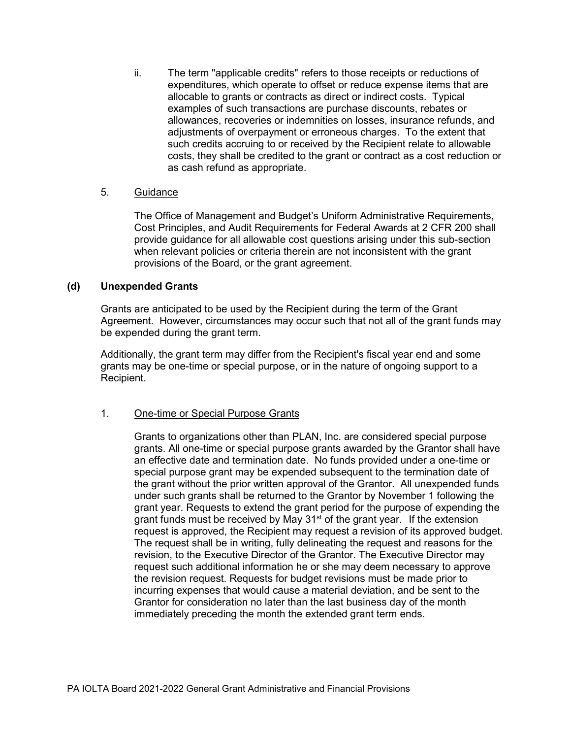ii. The term "applicable credits" refers to those receipts or reductions of expenditures, which operate to offset or reduce expense items that are allocable to grants or contracts as direct or indirect costs. Typical examples of such transactions are purchase discounts, rebates or allowances, recoveries or indemnities on losses, insurance refunds, and adjustments of overpayment or erroneous charges. To the extent that such credits accruing to or received by the Recipient relate to allowable costs, they shall be credited to the grant or contract as a cost reduction or as cash refund as appropriate.

#### 5. Guidance

The Office of Management and Budget's Uniform Administrative Requirements, Cost Principles, and Audit Requirements for Federal Awards at 2 CFR 200 shall provide guidance for all allowable cost questions arising under this sub-section when relevant policies or criteria therein are not inconsistent with the grant provisions of the Board, or the grant agreement.

#### **(d) Unexpended Grants**

Grants are anticipated to be used by the Recipient during the term of the Grant Agreement. However, circumstances may occur such that not all of the grant funds may be expended during the grant term.

Additionally, the grant term may differ from the Recipient's fiscal year end and some grants may be one-time or special purpose, or in the nature of ongoing support to a Recipient.

### 1. One-time or Special Purpose Grants

Grants to organizations other than PLAN, Inc. are considered special purpose grants. All one-time or special purpose grants awarded by the Grantor shall have an effective date and termination date. No funds provided under a one-time or special purpose grant may be expended subsequent to the termination date of the grant without the prior written approval of the Grantor. All unexpended funds under such grants shall be returned to the Grantor by November 1 following the grant year. Requests to extend the grant period for the purpose of expending the grant funds must be received by May 31<sup>st</sup> of the grant year. If the extension request is approved, the Recipient may request a revision of its approved budget. The request shall be in writing, fully delineating the request and reasons for the revision, to the Executive Director of the Grantor. The Executive Director may request such additional information he or she may deem necessary to approve the revision request. Requests for budget revisions must be made prior to incurring expenses that would cause a material deviation, and be sent to the Grantor for consideration no later than the last business day of the month immediately preceding the month the extended grant term ends.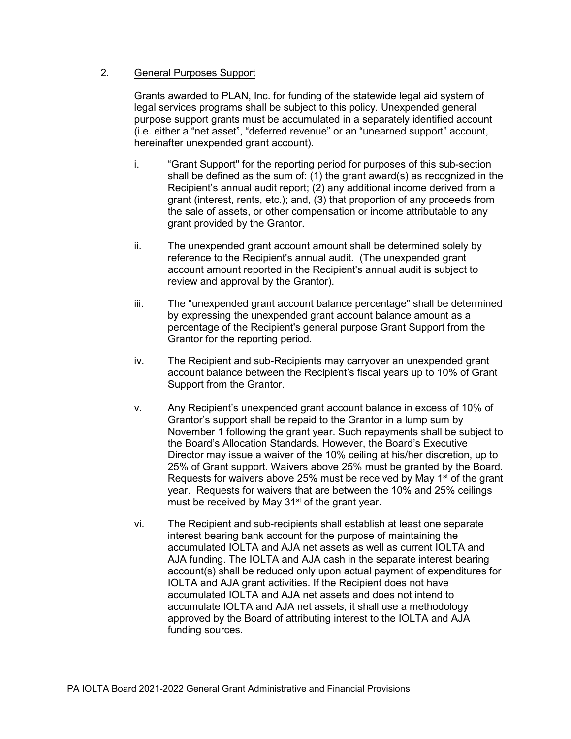### 2. General Purposes Support

Grants awarded to PLAN, Inc. for funding of the statewide legal aid system of legal services programs shall be subject to this policy. Unexpended general purpose support grants must be accumulated in a separately identified account (i.e. either a "net asset", "deferred revenue" or an "unearned support" account, hereinafter unexpended grant account).

- i. "Grant Support" for the reporting period for purposes of this sub-section shall be defined as the sum of: (1) the grant award(s) as recognized in the Recipient's annual audit report; (2) any additional income derived from a grant (interest, rents, etc.); and, (3) that proportion of any proceeds from the sale of assets, or other compensation or income attributable to any grant provided by the Grantor.
- ii. The unexpended grant account amount shall be determined solely by reference to the Recipient's annual audit. (The unexpended grant account amount reported in the Recipient's annual audit is subject to review and approval by the Grantor).
- iii. The "unexpended grant account balance percentage" shall be determined by expressing the unexpended grant account balance amount as a percentage of the Recipient's general purpose Grant Support from the Grantor for the reporting period.
- iv. The Recipient and sub-Recipients may carryover an unexpended grant account balance between the Recipient's fiscal years up to 10% of Grant Support from the Grantor.
- v. Any Recipient's unexpended grant account balance in excess of 10% of Grantor's support shall be repaid to the Grantor in a lump sum by November 1 following the grant year. Such repayments shall be subject to the Board's Allocation Standards. However, the Board's Executive Director may issue a waiver of the 10% ceiling at his/her discretion, up to 25% of Grant support. Waivers above 25% must be granted by the Board. Requests for waivers above 25% must be received by May  $1<sup>st</sup>$  of the grant year. Requests for waivers that are between the 10% and 25% ceilings must be received by May  $31<sup>st</sup>$  of the grant year.
- vi. The Recipient and sub-recipients shall establish at least one separate interest bearing bank account for the purpose of maintaining the accumulated IOLTA and AJA net assets as well as current IOLTA and AJA funding. The IOLTA and AJA cash in the separate interest bearing account(s) shall be reduced only upon actual payment of expenditures for IOLTA and AJA grant activities. If the Recipient does not have accumulated IOLTA and AJA net assets and does not intend to accumulate IOLTA and AJA net assets, it shall use a methodology approved by the Board of attributing interest to the IOLTA and AJA funding sources.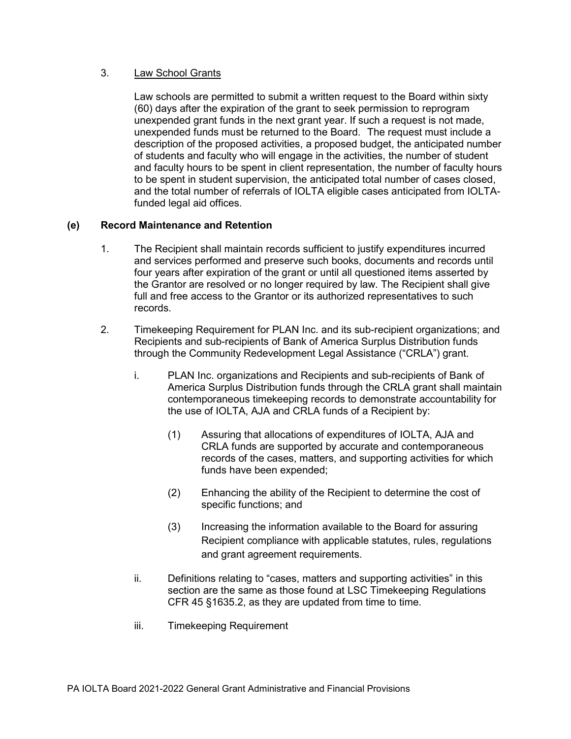### 3. Law School Grants

Law schools are permitted to submit a written request to the Board within sixty (60) days after the expiration of the grant to seek permission to reprogram unexpended grant funds in the next grant year. If such a request is not made, unexpended funds must be returned to the Board. The request must include a description of the proposed activities, a proposed budget, the anticipated number of students and faculty who will engage in the activities, the number of student and faculty hours to be spent in client representation, the number of faculty hours to be spent in student supervision, the anticipated total number of cases closed, and the total number of referrals of IOLTA eligible cases anticipated from IOLTAfunded legal aid offices.

### **(e) Record Maintenance and Retention**

- 1. The Recipient shall maintain records sufficient to justify expenditures incurred and services performed and preserve such books, documents and records until four years after expiration of the grant or until all questioned items asserted by the Grantor are resolved or no longer required by law. The Recipient shall give full and free access to the Grantor or its authorized representatives to such records.
- 2. Timekeeping Requirement for PLAN Inc. and its sub-recipient organizations; and Recipients and sub-recipients of Bank of America Surplus Distribution funds through the Community Redevelopment Legal Assistance ("CRLA") grant.
	- i. PLAN Inc. organizations and Recipients and sub-recipients of Bank of America Surplus Distribution funds through the CRLA grant shall maintain contemporaneous timekeeping records to demonstrate accountability for the use of IOLTA, AJA and CRLA funds of a Recipient by:
		- (1) Assuring that allocations of expenditures of IOLTA, AJA and CRLA funds are supported by accurate and contemporaneous records of the cases, matters, and supporting activities for which funds have been expended;
		- (2) Enhancing the ability of the Recipient to determine the cost of specific functions; and
		- (3) Increasing the information available to the Board for assuring Recipient compliance with applicable statutes, rules, regulations and grant agreement requirements.
	- ii. Definitions relating to "cases, matters and supporting activities" in this section are the same as those found at LSC Timekeeping Regulations CFR 45 §1635.2, as they are updated from time to time.
	- iii. Timekeeping Requirement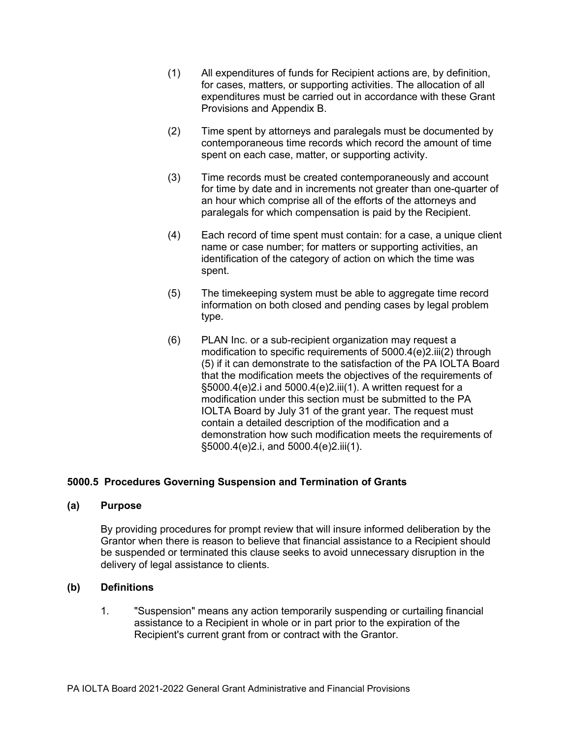- (1) All expenditures of funds for Recipient actions are, by definition, for cases, matters, or supporting activities. The allocation of all expenditures must be carried out in accordance with these Grant Provisions and Appendix B.
- (2) Time spent by attorneys and paralegals must be documented by contemporaneous time records which record the amount of time spent on each case, matter, or supporting activity.
- (3) Time records must be created contemporaneously and account for time by date and in increments not greater than one-quarter of an hour which comprise all of the efforts of the attorneys and paralegals for which compensation is paid by the Recipient.
- (4) Each record of time spent must contain: for a case, a unique client name or case number; for matters or supporting activities, an identification of the category of action on which the time was spent.
- (5) The timekeeping system must be able to aggregate time record information on both closed and pending cases by legal problem type.
- (6) PLAN Inc. or a sub-recipient organization may request a modification to specific requirements of 5000.4(e)2.iii(2) through (5) if it can demonstrate to the satisfaction of the PA IOLTA Board that the modification meets the objectives of the requirements of §5000.4(e)2.i and 5000.4(e)2.iii(1). A written request for a modification under this section must be submitted to the PA IOLTA Board by July 31 of the grant year. The request must contain a detailed description of the modification and a demonstration how such modification meets the requirements of §5000.4(e)2.i, and 5000.4(e)2.iii(1).

### **5000.5 Procedures Governing Suspension and Termination of Grants**

#### **(a) Purpose**

By providing procedures for prompt review that will insure informed deliberation by the Grantor when there is reason to believe that financial assistance to a Recipient should be suspended or terminated this clause seeks to avoid unnecessary disruption in the delivery of legal assistance to clients.

#### **(b) Definitions**

1. "Suspension" means any action temporarily suspending or curtailing financial assistance to a Recipient in whole or in part prior to the expiration of the Recipient's current grant from or contract with the Grantor.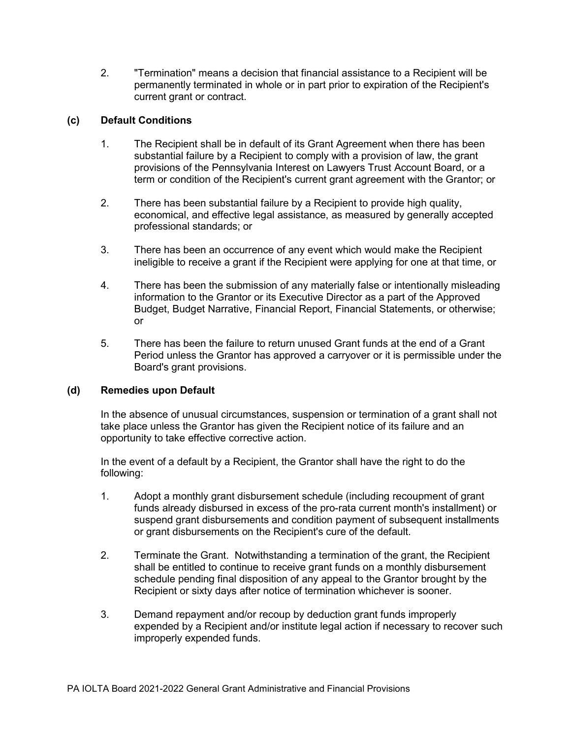2. "Termination" means a decision that financial assistance to a Recipient will be permanently terminated in whole or in part prior to expiration of the Recipient's current grant or contract.

## **(c) Default Conditions**

- 1. The Recipient shall be in default of its Grant Agreement when there has been substantial failure by a Recipient to comply with a provision of law, the grant provisions of the Pennsylvania Interest on Lawyers Trust Account Board, or a term or condition of the Recipient's current grant agreement with the Grantor; or
- 2. There has been substantial failure by a Recipient to provide high quality, economical, and effective legal assistance, as measured by generally accepted professional standards; or
- 3. There has been an occurrence of any event which would make the Recipient ineligible to receive a grant if the Recipient were applying for one at that time, or
- 4. There has been the submission of any materially false or intentionally misleading information to the Grantor or its Executive Director as a part of the Approved Budget, Budget Narrative, Financial Report, Financial Statements, or otherwise; or
- 5. There has been the failure to return unused Grant funds at the end of a Grant Period unless the Grantor has approved a carryover or it is permissible under the Board's grant provisions.

### **(d) Remedies upon Default**

In the absence of unusual circumstances, suspension or termination of a grant shall not take place unless the Grantor has given the Recipient notice of its failure and an opportunity to take effective corrective action.

In the event of a default by a Recipient, the Grantor shall have the right to do the following:

- 1. Adopt a monthly grant disbursement schedule (including recoupment of grant funds already disbursed in excess of the pro-rata current month's installment) or suspend grant disbursements and condition payment of subsequent installments or grant disbursements on the Recipient's cure of the default.
- 2. Terminate the Grant. Notwithstanding a termination of the grant, the Recipient shall be entitled to continue to receive grant funds on a monthly disbursement schedule pending final disposition of any appeal to the Grantor brought by the Recipient or sixty days after notice of termination whichever is sooner.
- 3. Demand repayment and/or recoup by deduction grant funds improperly expended by a Recipient and/or institute legal action if necessary to recover such improperly expended funds.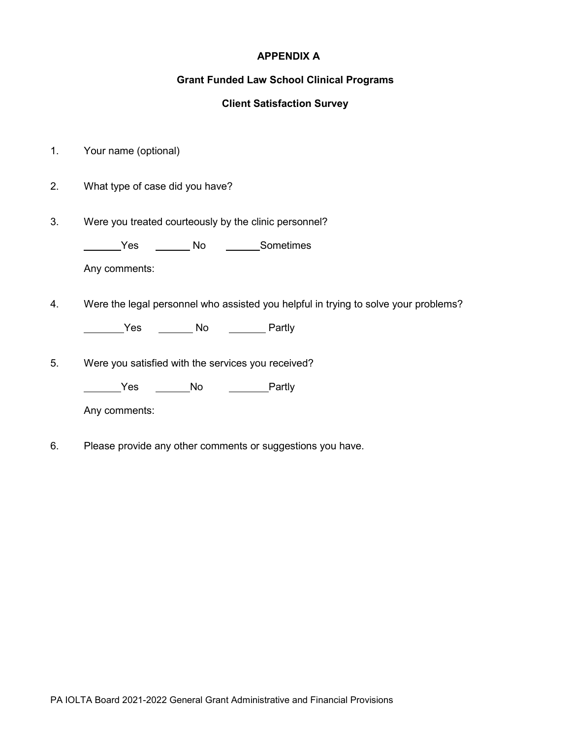## **APPENDIX A**

## **Grant Funded Law School Clinical Programs**

# **Client Satisfaction Survey**

- 1. Your name (optional)
- 2. What type of case did you have?
- 3. Were you treated courteously by the clinic personnel?

**Warehorn Sometimes** No **Communism** 

Any comments:

4. Were the legal personnel who assisted you helpful in trying to solve your problems?

Ves \_\_\_\_\_\_\_\_ No \_\_\_\_\_\_\_\_\_ Partly

5. Were you satisfied with the services you received?

Lacks Controller Monte Character Partly

Any comments:

6. Please provide any other comments or suggestions you have.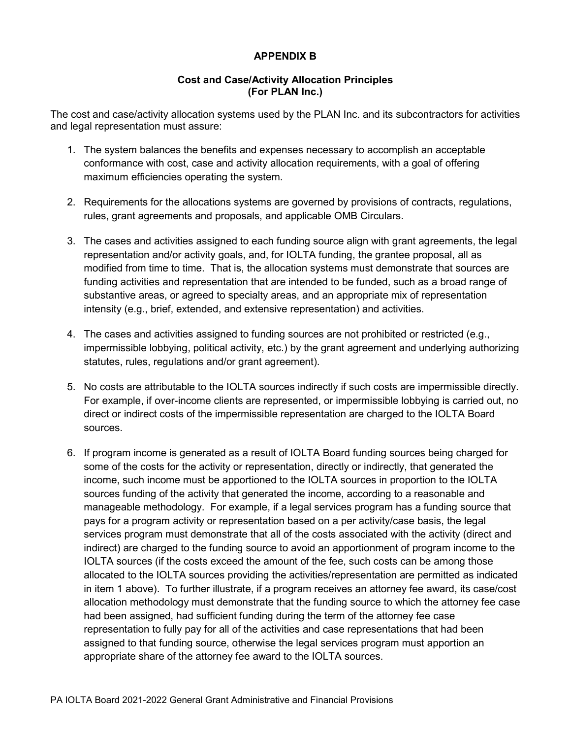# **APPENDIX B**

### **Cost and Case/Activity Allocation Principles (For PLAN Inc.)**

The cost and case/activity allocation systems used by the PLAN Inc. and its subcontractors for activities and legal representation must assure:

- 1. The system balances the benefits and expenses necessary to accomplish an acceptable conformance with cost, case and activity allocation requirements, with a goal of offering maximum efficiencies operating the system.
- 2. Requirements for the allocations systems are governed by provisions of contracts, regulations, rules, grant agreements and proposals, and applicable OMB Circulars.
- 3. The cases and activities assigned to each funding source align with grant agreements, the legal representation and/or activity goals, and, for IOLTA funding, the grantee proposal, all as modified from time to time. That is, the allocation systems must demonstrate that sources are funding activities and representation that are intended to be funded, such as a broad range of substantive areas, or agreed to specialty areas, and an appropriate mix of representation intensity (e.g., brief, extended, and extensive representation) and activities.
- 4. The cases and activities assigned to funding sources are not prohibited or restricted (e.g., impermissible lobbying, political activity, etc.) by the grant agreement and underlying authorizing statutes, rules, regulations and/or grant agreement).
- 5. No costs are attributable to the IOLTA sources indirectly if such costs are impermissible directly. For example, if over-income clients are represented, or impermissible lobbying is carried out, no direct or indirect costs of the impermissible representation are charged to the IOLTA Board sources.
- 6. If program income is generated as a result of IOLTA Board funding sources being charged for some of the costs for the activity or representation, directly or indirectly, that generated the income, such income must be apportioned to the IOLTA sources in proportion to the IOLTA sources funding of the activity that generated the income, according to a reasonable and manageable methodology. For example, if a legal services program has a funding source that pays for a program activity or representation based on a per activity/case basis, the legal services program must demonstrate that all of the costs associated with the activity (direct and indirect) are charged to the funding source to avoid an apportionment of program income to the IOLTA sources (if the costs exceed the amount of the fee, such costs can be among those allocated to the IOLTA sources providing the activities/representation are permitted as indicated in item 1 above). To further illustrate, if a program receives an attorney fee award, its case/cost allocation methodology must demonstrate that the funding source to which the attorney fee case had been assigned, had sufficient funding during the term of the attorney fee case representation to fully pay for all of the activities and case representations that had been assigned to that funding source, otherwise the legal services program must apportion an appropriate share of the attorney fee award to the IOLTA sources.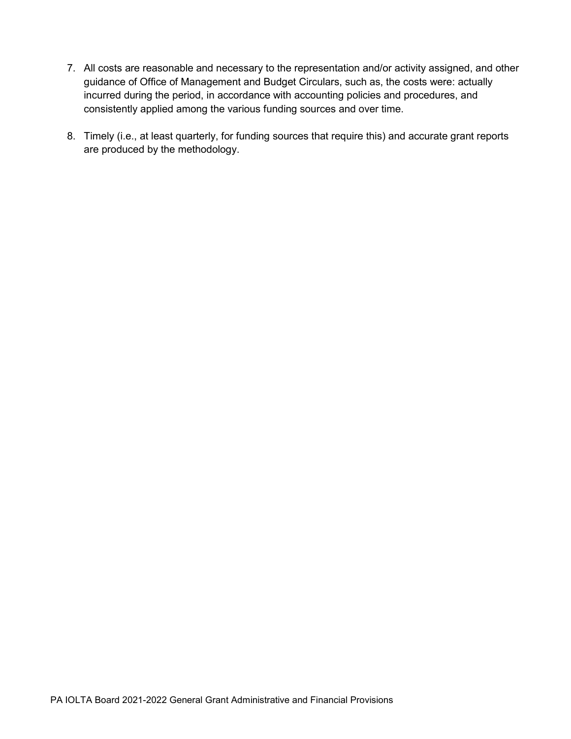- 7. All costs are reasonable and necessary to the representation and/or activity assigned, and other guidance of Office of Management and Budget Circulars, such as, the costs were: actually incurred during the period, in accordance with accounting policies and procedures, and consistently applied among the various funding sources and over time.
- 8. Timely (i.e., at least quarterly, for funding sources that require this) and accurate grant reports are produced by the methodology.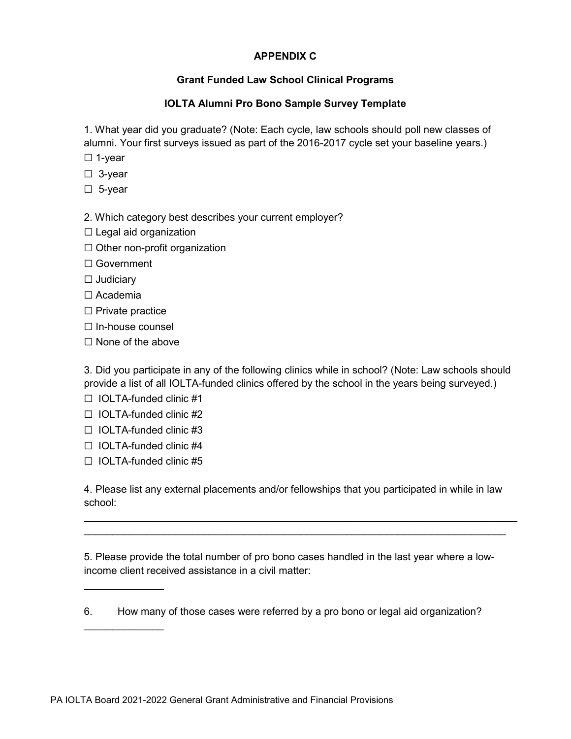# **APPENDIX C**

# **Grant Funded Law School Clinical Programs**

# **IOLTA Alumni Pro Bono Sample Survey Template**

1. What year did you graduate? (Note: Each cycle, law schools should poll new classes of alumni. Your first surveys issued as part of the 2016-2017 cycle set your baseline years.)

- ☐ 1-year
- ☐ 3-year
- ☐ 5-year

2. Which category best describes your current employer?

- $\Box$  Legal aid organization
- $\Box$  Other non-profit organization
- ☐ Government
- ☐ Judiciary
- ☐ Academia
- ☐ Private practice
- ☐ In-house counsel
- ☐ None of the above

3. Did you participate in any of the following clinics while in school? (Note: Law schools should provide a list of all IOLTA-funded clinics offered by the school in the years being surveyed.)

- ☐ IOLTA-funded clinic #1
- $\Box$  IOLTA-funded clinic #2
- ☐ IOLTA-funded clinic #3
- $\Box$  IOLTA-funded clinic #4
- ☐ IOLTA-funded clinic #5

 $\overline{\phantom{a}}$  , where  $\overline{\phantom{a}}$ 

 $\overline{\phantom{a}}$  , where  $\overline{\phantom{a}}$ 

4. Please list any external placements and/or fellowships that you participated in while in law school:

\_\_\_\_\_\_\_\_\_\_\_\_\_\_\_\_\_\_\_\_\_\_\_\_\_\_\_\_\_\_\_\_\_\_\_\_\_\_\_\_\_\_\_\_\_\_\_\_\_\_\_\_\_\_\_\_\_\_\_\_\_\_\_\_\_\_\_\_\_\_\_\_\_\_\_\_  $\mathcal{L}_\text{max}$  , and the contribution of the contribution of the contribution of the contribution of the contribution of the contribution of the contribution of the contribution of the contribution of the contribution of t

5. Please provide the total number of pro bono cases handled in the last year where a lowincome client received assistance in a civil matter:

6. How many of those cases were referred by a pro bono or legal aid organization?